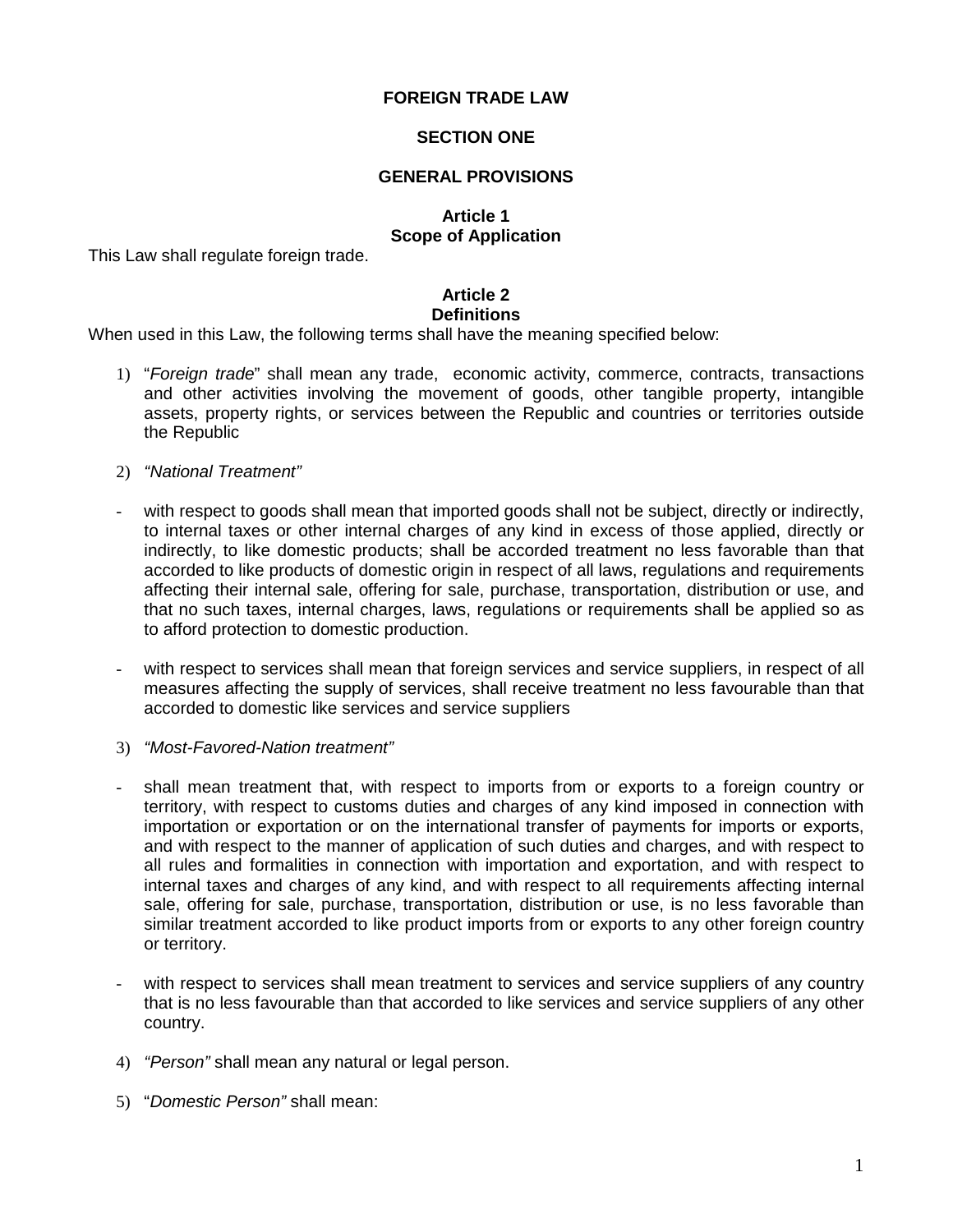## **FOREIGN TRADE LAW**

#### **SECTION ONE**

#### **GENERAL PROVISIONS**

## **Article 1**

## **Scope of Application**

This Law shall regulate foreign trade.

#### **Article 2 Definitions**

When used in this Law, the following terms shall have the meaning specified below:

- 1) "Foreign trade" shall mean any trade, economic activity, commerce, contracts, transactions and other activities involving the movement of goods, other tangible property, intangible assets, property rights, or services between the Republic and countries or territories outside the Republic
- 2) "National Treatment"
- with respect to goods shall mean that imported goods shall not be subject, directly or indirectly, to internal taxes or other internal charges of any kind in excess of those applied, directly or indirectly, to like domestic products; shall be accorded treatment no less favorable than that accorded to like products of domestic origin in respect of all laws, regulations and requirements affecting their internal sale, offering for sale, purchase, transportation, distribution or use, and that no such taxes, internal charges, laws, regulations or requirements shall be applied so as to afford protection to domestic production.
- with respect to services shall mean that foreign services and service suppliers, in respect of all measures affecting the supply of services, shall receive treatment no less favourable than that accorded to domestic like services and service suppliers
- 3) "Most-Favored-Nation treatment"
- shall mean treatment that, with respect to imports from or exports to a foreign country or territory, with respect to customs duties and charges of any kind imposed in connection with importation or exportation or on the international transfer of payments for imports or exports, and with respect to the manner of application of such duties and charges, and with respect to all rules and formalities in connection with importation and exportation, and with respect to internal taxes and charges of any kind, and with respect to all requirements affecting internal sale, offering for sale, purchase, transportation, distribution or use, is no less favorable than similar treatment accorded to like product imports from or exports to any other foreign country or territory.
- with respect to services shall mean treatment to services and service suppliers of any country that is no less favourable than that accorded to like services and service suppliers of any other country.
- 4) "Person" shall mean any natural or legal person.
- 5) "Domestic Person" shall mean: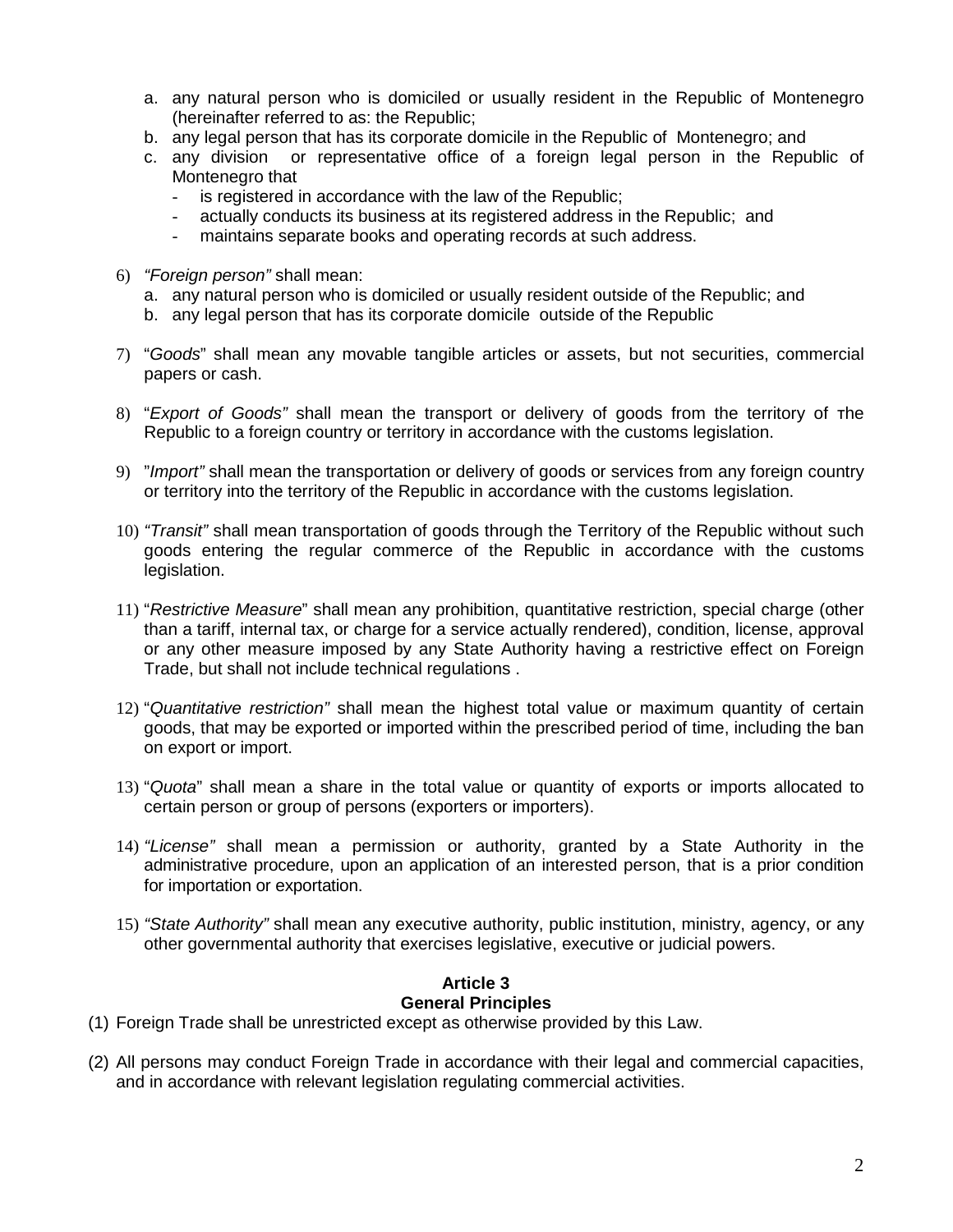- a. any natural person who is domiciled or usually resident in the Republic of Montenegro (hereinafter referred to as: the Republic;
- b. any legal person that has its corporate domicile in the Republic of Montenegro; and
- c. any division or representative office of a foreign legal person in the Republic of Montenegro that
	- is registered in accordance with the law of the Republic;
	- actually conducts its business at its registered address in the Republic; and
	- maintains separate books and operating records at such address.
- 6) "Foreign person" shall mean:
	- a. any natural person who is domiciled or usually resident outside of the Republic; and
	- b. any legal person that has its corporate domicile outside of the Republic
- 7) "Goods" shall mean any movable tangible articles or assets, but not securities, commercial papers or cash.
- 8) "Export of Goods" shall mean the transport or delivery of goods from the territory of the Republic to a foreign country or territory in accordance with the customs legislation.
- 9) "Import" shall mean the transportation or delivery of goods or services from any foreign country or territory into the territory of the Republic in accordance with the customs legislation.
- 10) "Transit" shall mean transportation of goods through the Territory of the Republic without such goods entering the regular commerce of the Republic in accordance with the customs legislation.
- 11) "Restrictive Measure" shall mean any prohibition, quantitative restriction, special charge (other than a tariff, internal tax, or charge for a service actually rendered), condition, license, approval or any other measure imposed by any State Authority having a restrictive effect on Foreign Trade, but shall not include technical regulations .
- 12) "Quantitative restriction" shall mean the highest total value or maximum quantity of certain goods, that may be exported or imported within the prescribed period of time, including the ban on export or import.
- 13) "Quota" shall mean a share in the total value or quantity of exports or imports allocated to certain person or group of persons (exporters or importers).
- 14) "License" shall mean a permission or authority, granted by a State Authority in the administrative procedure, upon an application of an interested person, that is a prior condition for importation or exportation.
- 15) "State Authority" shall mean any executive authority, public institution, ministry, agency, or any other governmental authority that exercises legislative, executive or judicial powers.

# **Article 3**

## **General Principles**

- (1) Foreign Trade shall be unrestricted except as otherwise provided by this Law.
- (2) All persons may conduct Foreign Trade in accordance with their legal and commercial capacities, and in accordance with relevant legislation regulating commercial activities.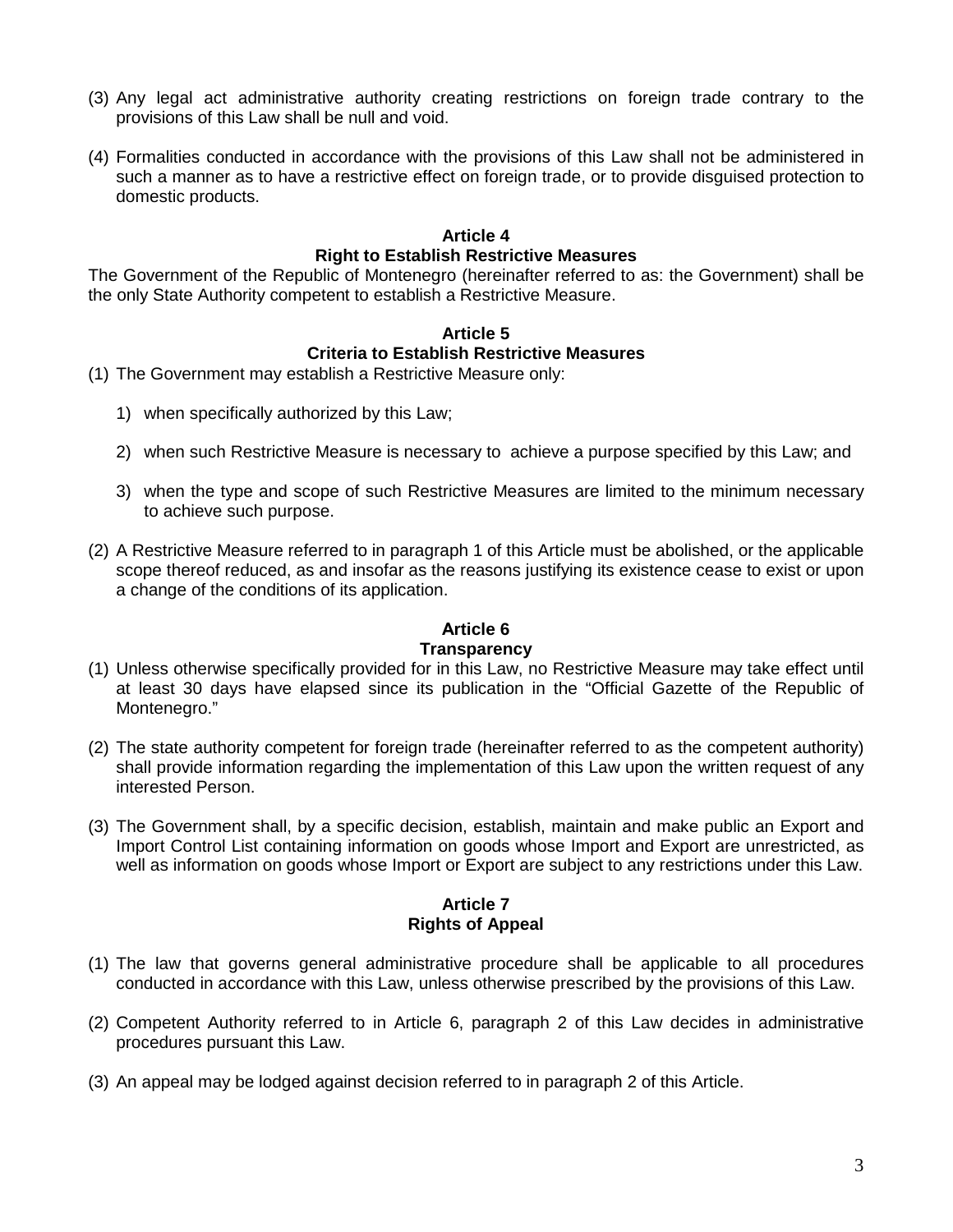- (3) Any legal act administrative authority creating restrictions on foreign trade contrary to the provisions of this Law shall be null and void.
- (4) Formalities conducted in accordance with the provisions of this Law shall not be administered in such a manner as to have a restrictive effect on foreign trade, or to provide disguised protection to domestic products.

#### **Article 4 Right to Establish Restrictive Measures**

The Government of the Republic of Montenegro (hereinafter referred to as: the Government) shall be the only State Authority competent to establish a Restrictive Measure.

## **Article 5 Criteria to Establish Restrictive Measures**

- (1) The Government may establish a Restrictive Measure only:
	- 1) when specifically authorized by this Law;
	- 2) when such Restrictive Measure is necessary to achieve a purpose specified by this Law; and
	- 3) when the type and scope of such Restrictive Measures are limited to the minimum necessary to achieve such purpose.
- (2) A Restrictive Measure referred to in paragraph 1 of this Article must be abolished, or the applicable scope thereof reduced, as and insofar as the reasons justifying its existence cease to exist or upon a change of the conditions of its application.

# **Аrticle 6**

#### **Transparency**

- (1) Unless otherwise specifically provided for in this Law, no Restrictive Measure may take effect until at least 30 days have elapsed since its publication in the "Official Gazette of the Republic of Montenegro."
- (2) The state authority competent for foreign trade (hereinafter referred to as the competent authority) shall provide information regarding the implementation of this Law upon the written request of any interested Person.
- (3) The Government shall, by a specific decision, establish, maintain and make public an Export and Import Control List containing information on goods whose Import and Export are unrestricted, as well as information on goods whose Import or Export are subject to any restrictions under this Law.

## **Article 7 Rights of Appeal**

- (1) The law that governs general administrative procedure shall be applicable to all procedures conducted in accordance with this Law, unless otherwise prescribed by the provisions of this Law.
- (2) Competent Authority referred to in Article 6, paragraph 2 of this Law decides in administrative procedures pursuant this Law.
- (3) An appeal may be lodged against decision referred to in paragraph 2 of this Article.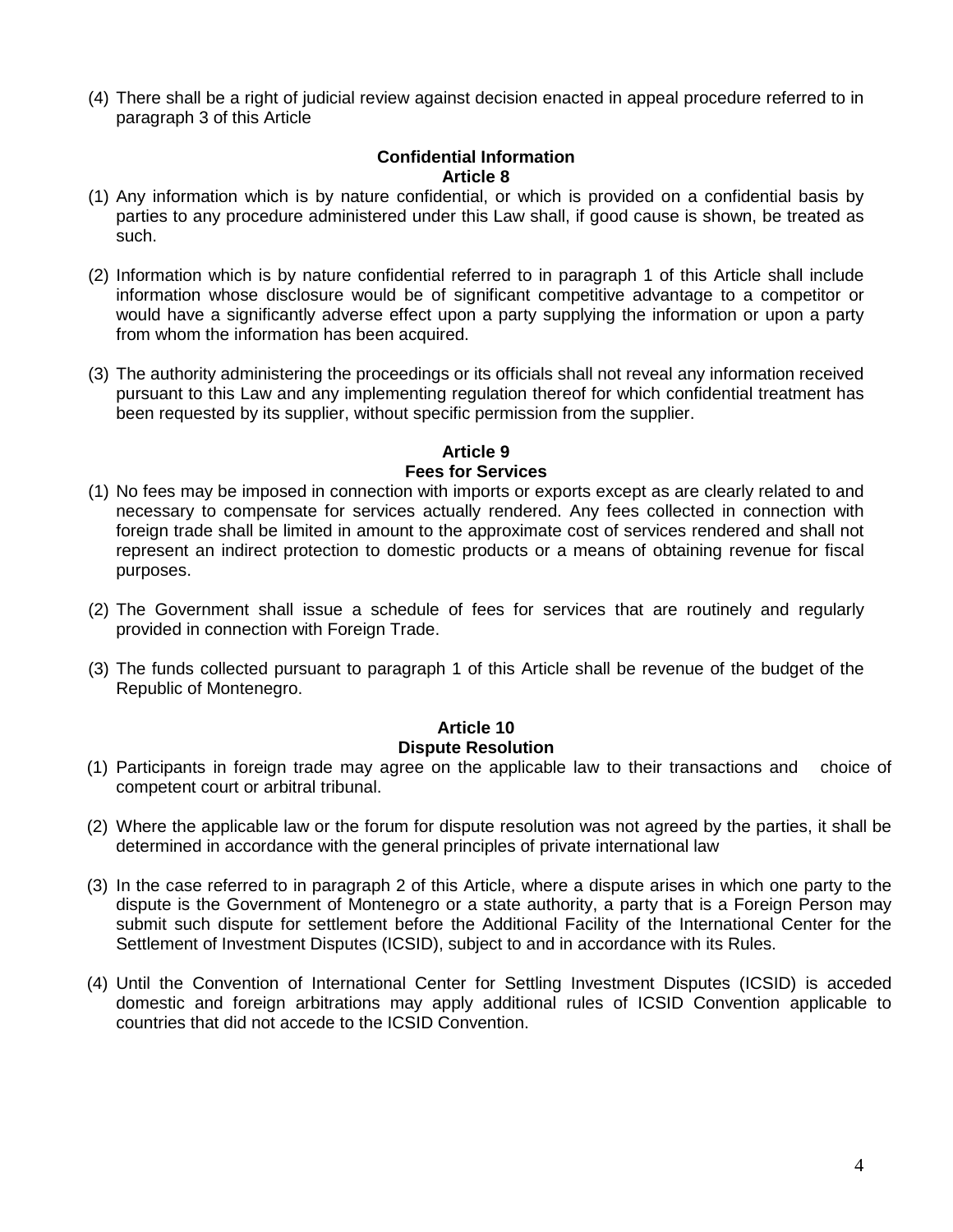(4) There shall be a right of judicial review against decision enacted in appeal procedure referred to in paragraph 3 of this Article

#### **Confidential Information Article 8**

- (1) Any information which is by nature confidential, or which is provided on a confidential basis by parties to any procedure administered under this Law shall, if good cause is shown, be treated as such.
- (2) Information which is by nature confidential referred to in paragraph 1 of this Article shall include information whose disclosure would be of significant competitive advantage to a competitor or would have a significantly adverse effect upon a party supplying the information or upon a party from whom the information has been acquired.
- (3) The authority administering the proceedings or its officials shall not reveal any information received pursuant to this Law and any implementing regulation thereof for which confidential treatment has been requested by its supplier, without specific permission from the supplier.

#### **Article 9 Fees for Services**

- (1) No fees may be imposed in connection with imports or exports except as are clearly related to and necessary to compensate for services actually rendered. Any fees collected in connection with foreign trade shall be limited in amount to the approximate cost of services rendered and shall not represent an indirect protection to domestic products or a means of obtaining revenue for fiscal purposes.
- (2) The Government shall issue a schedule of fees for services that are routinely and regularly provided in connection with Foreign Trade.
- (3) The funds collected pursuant to paragraph 1 of this Article shall be revenue of the budget of the Republic of Montenegro.

# **Article 10 Dispute Resolution**

- (1) Participants in foreign trade may agree on the applicable law to their transactions and choice of competent court or arbitral tribunal.
- (2) Where the applicable law or the forum for dispute resolution was not agreed by the parties, it shall be determined in accordance with the general principles of private international law
- (3) In the case referred to in paragraph 2 of this Article, where a dispute arises in which one party to the dispute is the Government of Montenegro or a state authority, a party that is a Foreign Person may submit such dispute for settlement before the Additional Facility of the International Center for the Settlement of Investment Disputes (ICSID), subject to and in accordance with its Rules.
- (4) Until the Convention of International Center for Settling Investment Disputes (ICSID) is acceded domestic and foreign arbitrations may apply additional rules of ICSID Convention applicable to countries that did not accede to the ICSID Convention.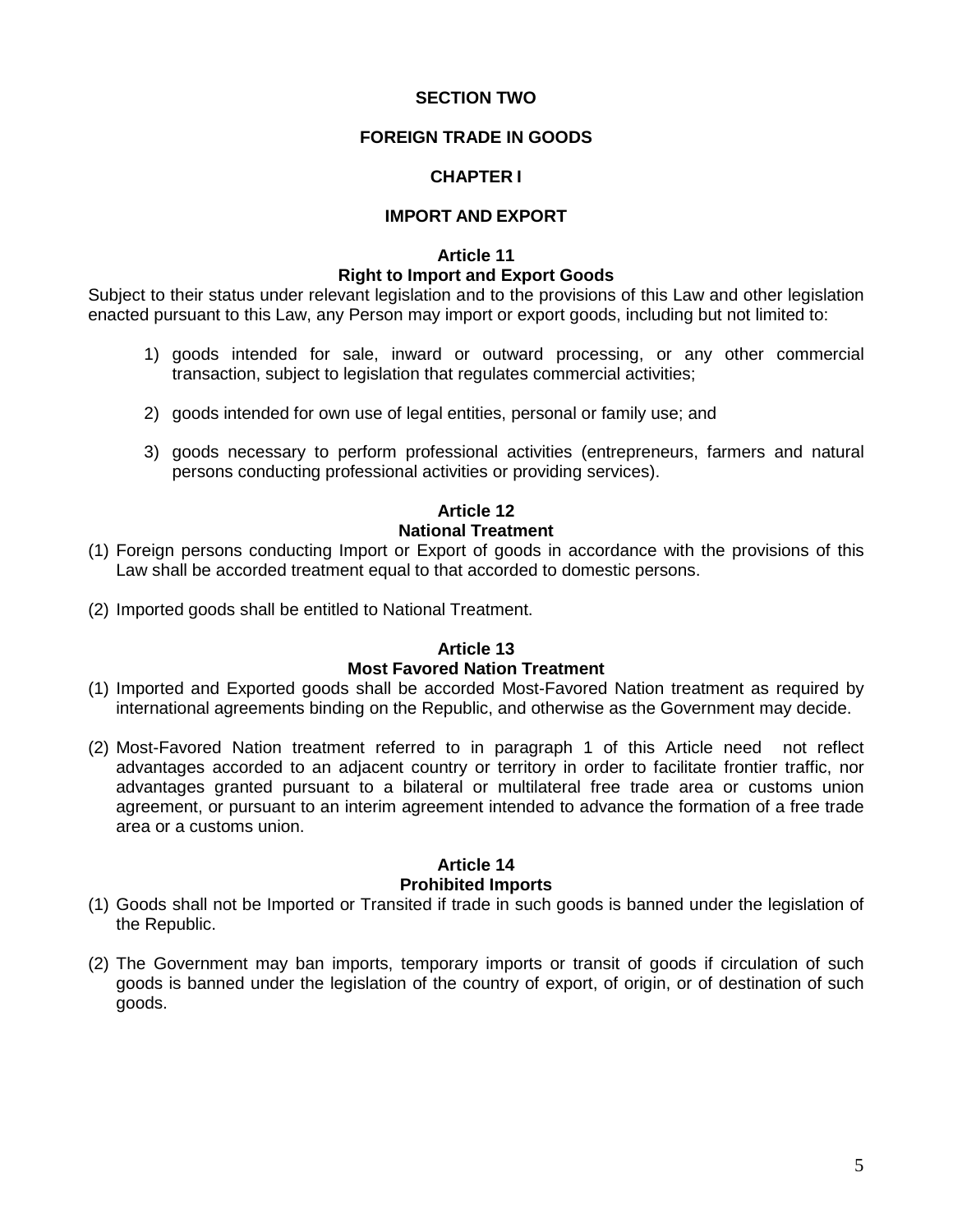#### **SECTION TWO**

## **FOREIGN TRADE IN GOODS**

#### **CHAPTER I**

#### **IMPORT AND EXPORT**

## **Article 11 Right to Import and Export Goods**

Subject to their status under relevant legislation and to the provisions of this Law and other legislation enacted pursuant to this Law, any Person may import or export goods, including but not limited to:

- 1) goods intended for sale, inward or outward processing, or any other commercial transaction, subject to legislation that regulates commercial activities;
- 2) goods intended for own use of legal entities, personal or family use; and
- 3) goods necessary to perform professional activities (entrepreneurs, farmers and natural persons conducting professional activities or providing services).

#### **Article 12**

#### **National Treatment**

- (1) Foreign persons conducting Import or Export of goods in accordance with the provisions of this Law shall be accorded treatment equal to that accorded to domestic persons.
- (2) Imported goods shall be entitled to National Treatment.

#### **Article 13 Most Favored Nation Treatment**

- (1) Imported and Exported goods shall be accorded Most-Favored Nation treatment as required by international agreements binding on the Republic, and otherwise as the Government may decide.
- (2) Most-Favored Nation treatment referred to in paragraph 1 of this Article need not reflect advantages accorded to an adjacent country or territory in order to facilitate frontier traffic, nor advantages granted pursuant to a bilateral or multilateral free trade area or customs union agreement, or pursuant to an interim agreement intended to advance the formation of a free trade area or a customs union.

#### **Article 14 Prohibited Imports**

- (1) Goods shall not be Imported or Transited if trade in such goods is banned under the legislation of the Republic.
- (2) The Government may ban imports, temporary imports or transit of goods if circulation of such goods is banned under the legislation of the country of export, of origin, or of destination of such goods.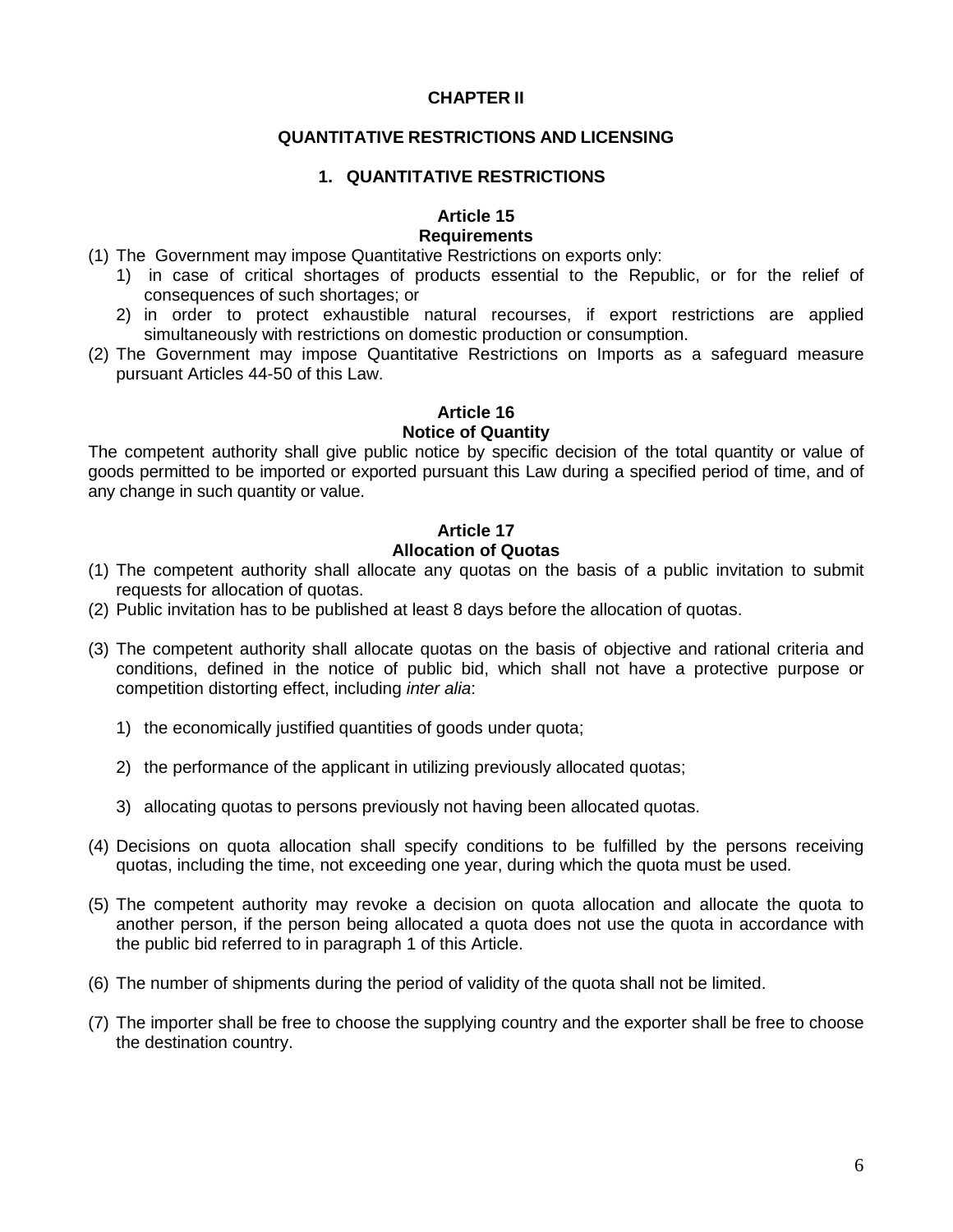## **CHAPTER II**

## **QUANTITATIVE RESTRICTIONS AND LICENSING**

#### **1. QUANTITATIVE RESTRICTIONS**

#### **Article 15**

## **Requirements**

- (1) The Government may impose Quantitative Restrictions on exports only:
	- 1) in case of critical shortages of products essential to the Republic, or for the relief of consequences of such shortages; or
	- 2) in order to protect exhaustible natural recourses, if export restrictions are applied simultaneously with restrictions on domestic production or consumption.
- (2) The Government may impose Quantitative Restrictions on Imports as a safeguard measure pursuant Articles 44-50 of this Law.

## **Article 16**

#### **Notice of Quantity**

The competent authority shall give public notice by specific decision of the total quantity or value of goods permitted to be imported or exported pursuant this Law during a specified period of time, and of any change in such quantity or value.

#### **Article 17 Allocation of Quotas**

- (1) The competent authority shall allocate any quotas on the basis of a public invitation to submit requests for allocation of quotas.
- (2) Public invitation has to be published at least 8 days before the allocation of quotas.
- (3) The competent authority shall allocate quotas on the basis of objective and rational criteria and conditions, defined in the notice of public bid, which shall not have a protective purpose or competition distorting effect, including inter alia:
	- 1) the economically justified quantities of goods under quota;
	- 2) the performance of the applicant in utilizing previously allocated quotas;
	- 3) allocating quotas to persons previously not having been allocated quotas.
- (4) Decisions on quota allocation shall specify conditions to be fulfilled by the persons receiving quotas, including the time, not exceeding one year, during which the quota must be used.
- (5) The competent authority may revoke a decision on quota allocation and allocate the quota to another person, if the person being allocated a quota does not use the quota in accordance with the public bid referred to in paragraph 1 of this Article.
- (6) The number of shipments during the period of validity of the quota shall not be limited.
- (7) The importer shall be free to choose the supplying country and the exporter shall be free to choose the destination country.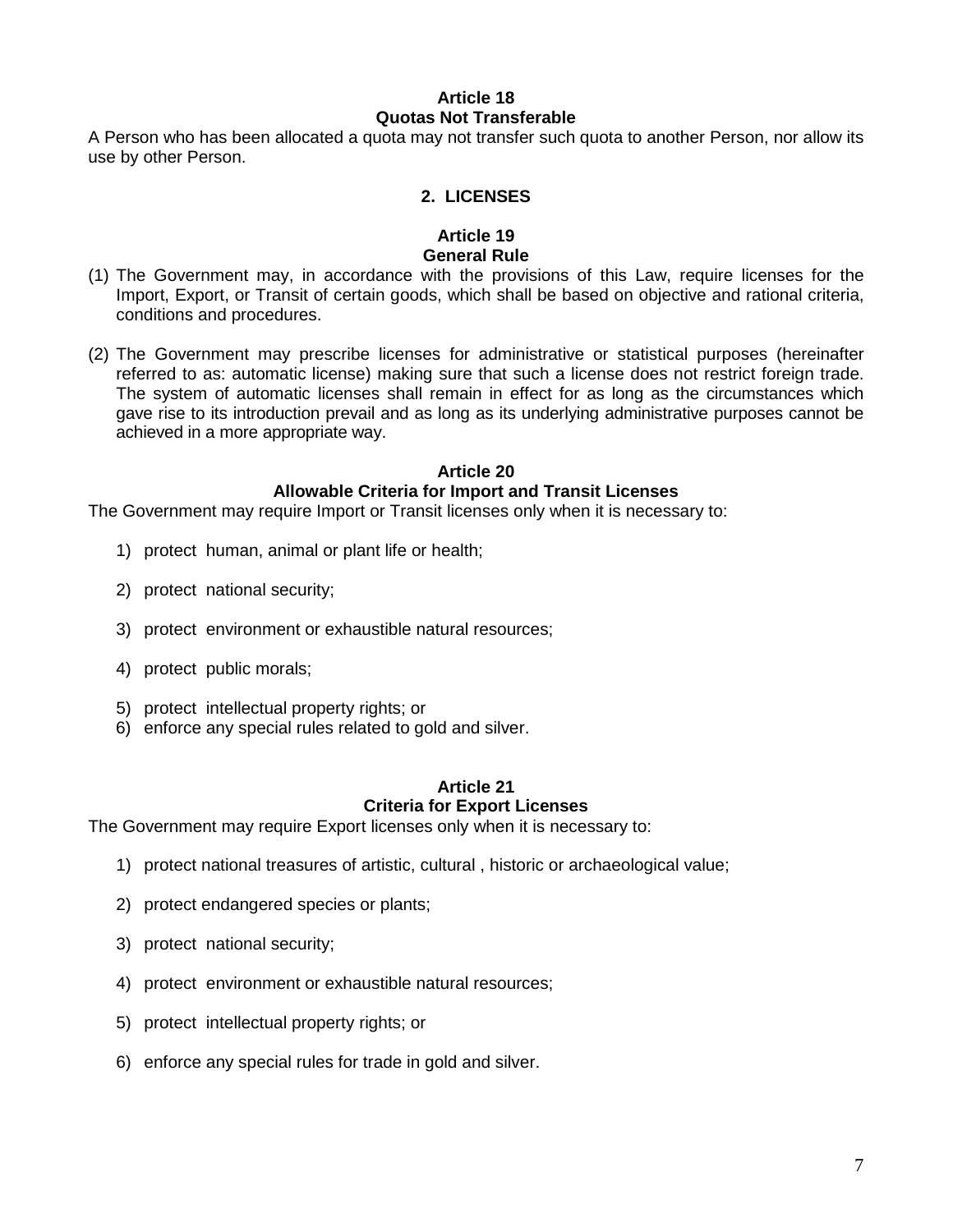#### **Article 18 Quotas Not Transferable**

A Person who has been allocated a quota may not transfer such quota to another Person, nor allow its use by other Person.

#### **2. LICENSES**

#### **Article 19 General Rule**

- (1) The Government may, in accordance with the provisions of this Law, require licenses for the Import, Export, or Transit of certain goods, which shall be based on objective and rational criteria, conditions and procedures.
- (2) The Government may prescribe licenses for administrative or statistical purposes (hereinafter referred to as: automatic license) making sure that such a license does not restrict foreign trade. The system of automatic licenses shall remain in effect for as long as the circumstances which gave rise to its introduction prevail and as long as its underlying administrative purposes cannot be achieved in a more appropriate way.

#### **Article 20**

## **Allowable Criteria for Import and Transit Licenses**

The Government may require Import or Transit licenses only when it is necessary to:

- 1) protect human, animal or plant life or health;
- 2) protect national security;
- 3) protect environment or exhaustible natural resources;
- 4) protect public morals;
- 5) protect intellectual property rights; or
- 6) enforce any special rules related to gold and silver.

## **Article 21 Criteria for Export Licenses**

The Government may require Export licenses only when it is necessary to:

- 1) protect national treasures of artistic, cultural , historic or archaeological value;
- 2) protect endangered species or plants;
- 3) protect national security;
- 4) protect environment or exhaustible natural resources;
- 5) protect intellectual property rights; or
- 6) enforce any special rules for trade in gold and silver.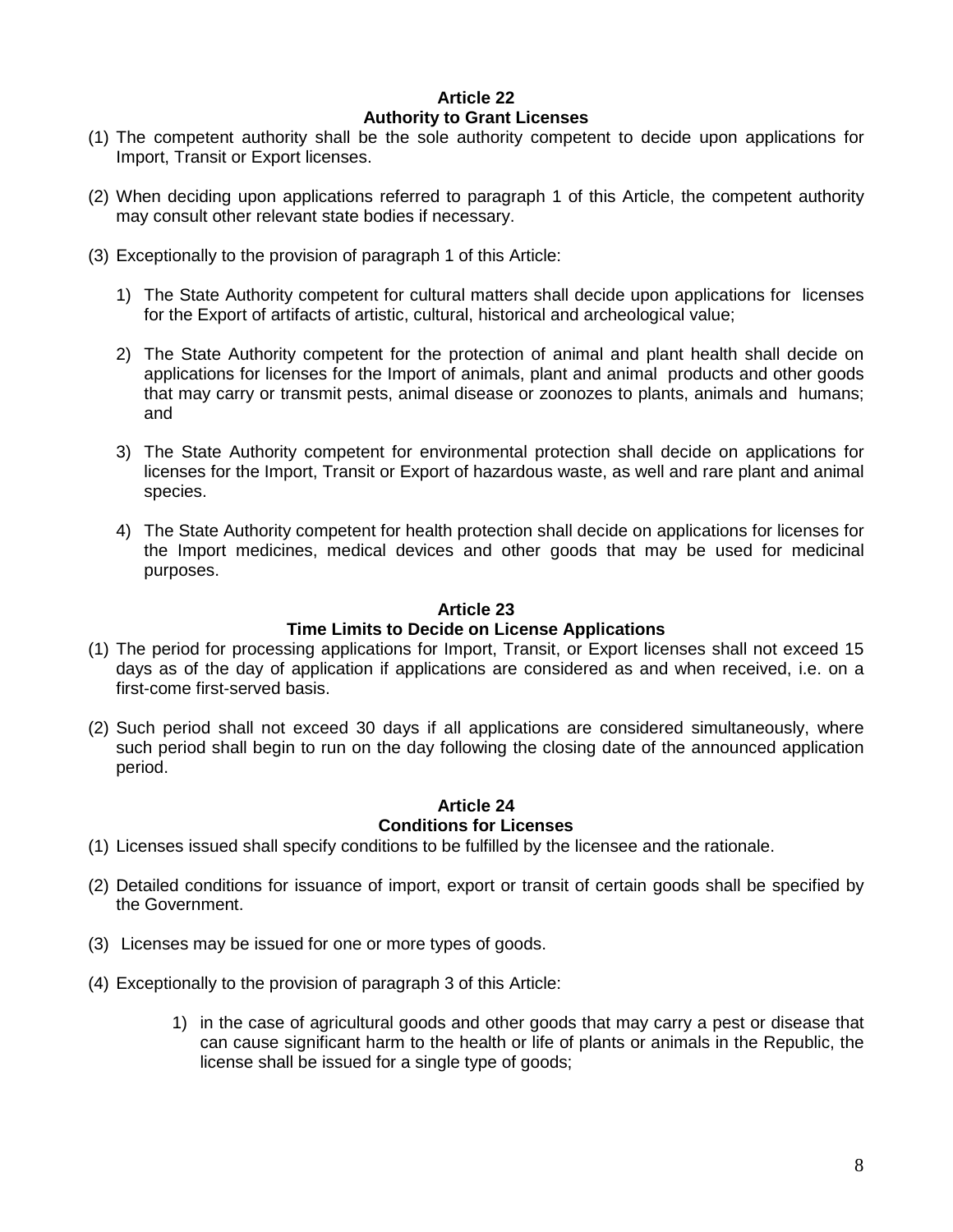#### **Article 22 Authority to Grant Licenses**

- (1) The competent authority shall be the sole authority competent to decide upon applications for Import, Transit or Export licenses.
- (2) When deciding upon applications referred to paragraph 1 of this Article, the competent authority may consult other relevant state bodies if necessary.
- (3) Exceptionally to the provision of paragraph 1 of this Article:
	- 1) The State Authority competent for cultural matters shall decide upon applications for licenses for the Export of artifacts of artistic, cultural, historical and archeological value;
	- 2) The State Authority competent for the protection of animal and plant health shall decide on applications for licenses for the Import of animals, plant and animal products and other goods that may carry or transmit pests, animal disease or zoonozes to plants, animals and humans; and
	- 3) The State Authority competent for environmental protection shall decide on applications for licenses for the Import, Transit or Export of hazardous waste, as well and rare plant and animal species.
	- 4) The State Authority competent for health protection shall decide on applications for licenses for the Import medicines, medical devices and other goods that may be used for medicinal purposes.

#### **Article 23**

## **Time Limits to Decide on License Applications**

- (1) The period for processing applications for Import, Transit, or Export licenses shall not exceed 15 days as of the day of application if applications are considered as and when received, i.e. on a first-come first-served basis.
- (2) Such period shall not exceed 30 days if all applications are considered simultaneously, where such period shall begin to run on the day following the closing date of the announced application period.

## **Article 24 Conditions for Licenses**

- (1) Licenses issued shall specify conditions to be fulfilled by the licensee and the rationale.
- (2) Detailed conditions for issuance of import, export or transit of certain goods shall be specified by the Government.
- (3) Licenses may be issued for one or more types of goods.
- (4) Exceptionally to the provision of paragraph 3 of this Article:
	- 1) in the case of agricultural goods and other goods that may carry a pest or disease that can cause significant harm to the health or life of plants or animals in the Republic, the license shall be issued for a single type of goods;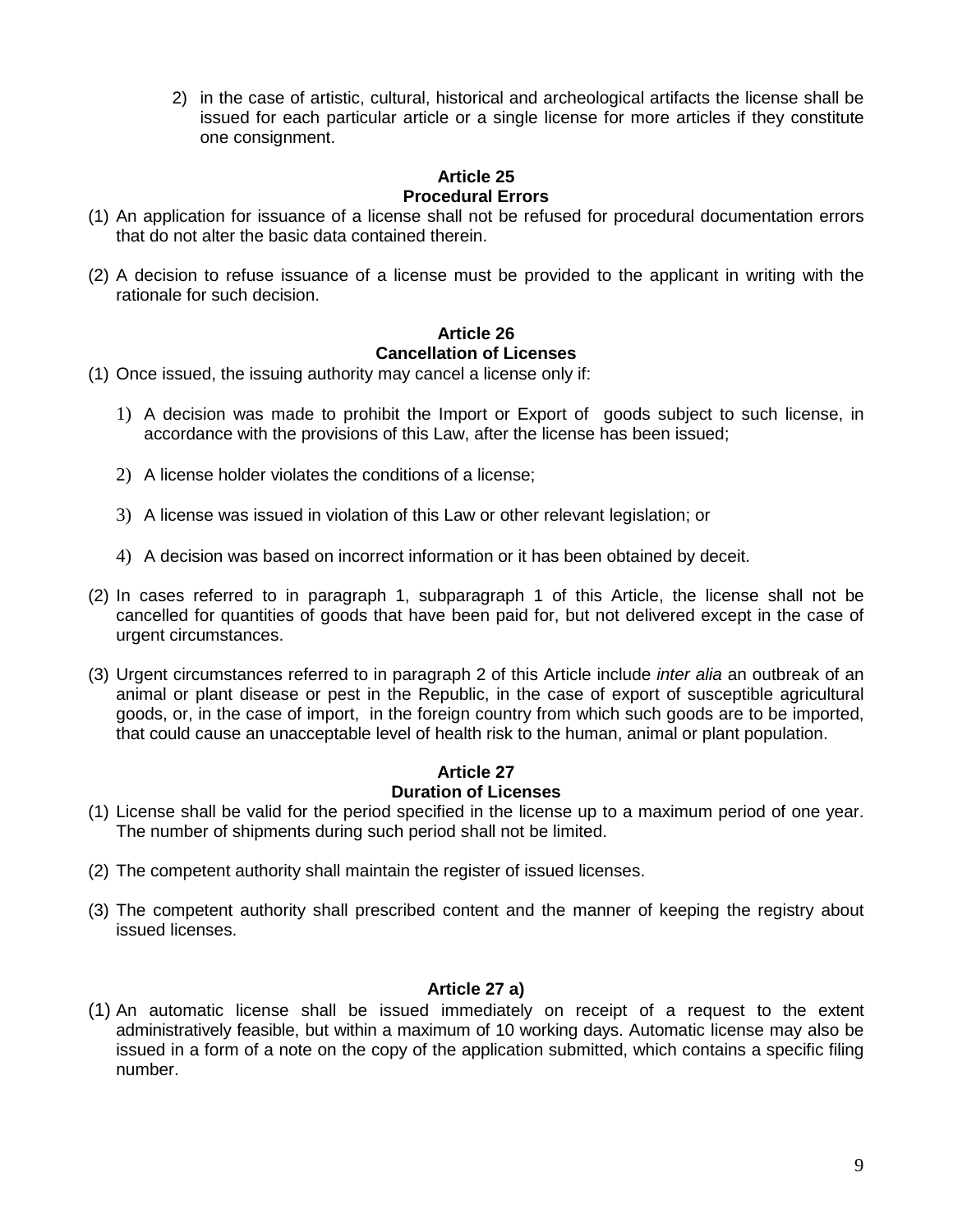2) in the case of artistic, cultural, historical and archeological artifacts the license shall be issued for each particular article or a single license for more articles if they constitute one consignment.

## **Article 25 Procedural Errors**

- (1) An application for issuance of a license shall not be refused for procedural documentation errors that do not alter the basic data contained therein.
- (2) A decision to refuse issuance of a license must be provided to the applicant in writing with the rationale for such decision.

# **Article 26 Cancellation of Licenses**

- (1) Once issued, the issuing authority may cancel a license only if:
	- 1) A decision was made to prohibit the Import or Export of goods subject to such license, in accordance with the provisions of this Law, after the license has been issued;
	- 2) A license holder violates the conditions of a license;
	- 3) A license was issued in violation of this Law or other relevant legislation; or
	- 4) A decision was based on incorrect information or it has been obtained by deceit.
- (2) In cases referred to in paragraph 1, subparagraph 1 of this Article, the license shall not be cancelled for quantities of goods that have been paid for, but not delivered except in the case of urgent circumstances.
- (3) Urgent circumstances referred to in paragraph 2 of this Article include inter alia an outbreak of an animal or plant disease or pest in the Republic, in the case of export of susceptible agricultural goods, or, in the case of import, in the foreign country from which such goods are to be imported, that could cause an unacceptable level of health risk to the human, animal or plant population.

#### **Article 27 Duration of Licenses**

- (1) License shall be valid for the period specified in the license up to a maximum period of one year. The number of shipments during such period shall not be limited.
- (2) The competent authority shall maintain the register of issued licenses.
- (3) The competent authority shall prescribed content and the manner of keeping the registry about issued licenses.

## **Article 27 a)**

(1) An automatic license shall be issued immediately on receipt of a request to the extent administratively feasible, but within a maximum of 10 working days. Automatic license may also be issued in a form of a note on the copy of the application submitted, which contains a specific filing number.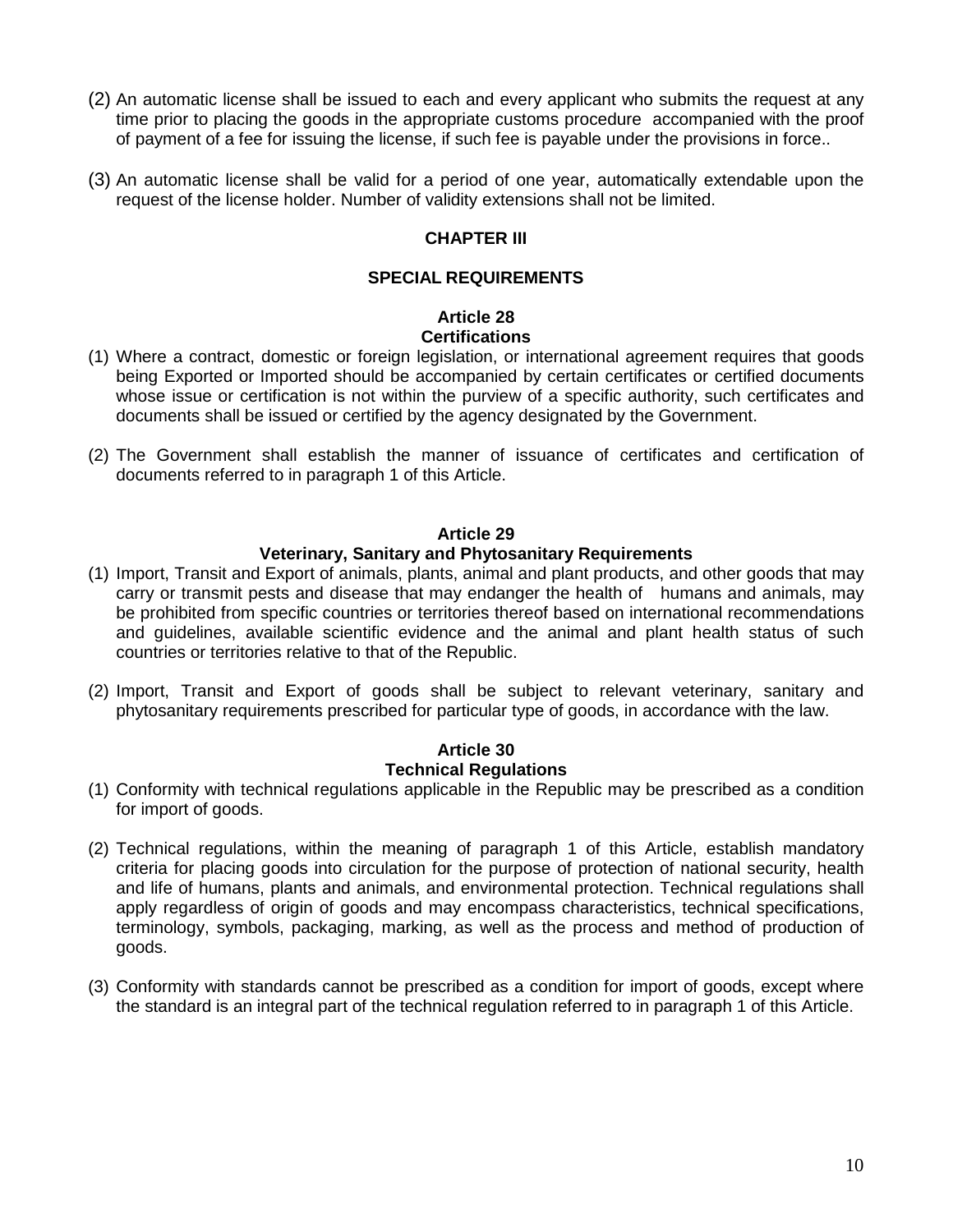- (2) An automatic license shall be issued to each and every applicant who submits the request at any time prior to placing the goods in the appropriate customs procedure accompanied with the proof of payment of a fee for issuing the license, if such fee is payable under the provisions in force..
- (3) An automatic license shall be valid for a period of one year, automatically extendable upon the request of the license holder. Number of validity extensions shall not be limited.

# **CHAPTER III**

## **SPECIAL REQUIREMENTS**

## **Article 28 Certifications**

- (1) Where a contract, domestic or foreign legislation, or international agreement requires that goods being Exported or Imported should be accompanied by certain certificates or certified documents whose issue or certification is not within the purview of a specific authority, such certificates and documents shall be issued or certified by the agency designated by the Government.
- (2) The Government shall establish the manner of issuance of certificates and certification of documents referred to in paragraph 1 of this Article.

#### **Article 29**

## **Veterinary, Sanitary and Phytosanitary Requirements**

- (1) Import, Transit and Export of animals, plants, animal and plant products, and other goods that may carry or transmit pests and disease that may endanger the health of humans and animals, may be prohibited from specific countries or territories thereof based on international recommendations and guidelines, available scientific evidence and the animal and plant health status of such countries or territories relative to that of the Republic.
- (2) Import, Transit and Export of goods shall be subject to relevant veterinary, sanitary and phytosanitary requirements prescribed for particular type of goods, in accordance with the law.

# **Article 30 Technical Regulations**

- (1) Conformity with technical regulations applicable in the Republic may be prescribed as a condition for import of goods.
- (2) Technical regulations, within the meaning of paragraph 1 of this Article, establish mandatory criteria for placing goods into circulation for the purpose of protection of national security, health and life of humans, plants and animals, and environmental protection. Technical regulations shall apply regardless of origin of goods and may encompass characteristics, technical specifications, terminology, symbols, packaging, marking, as well as the process and method of production of goods.
- (3) Conformity with standards cannot be prescribed as a condition for import of goods, except where the standard is an integral part of the technical regulation referred to in paragraph 1 of this Article.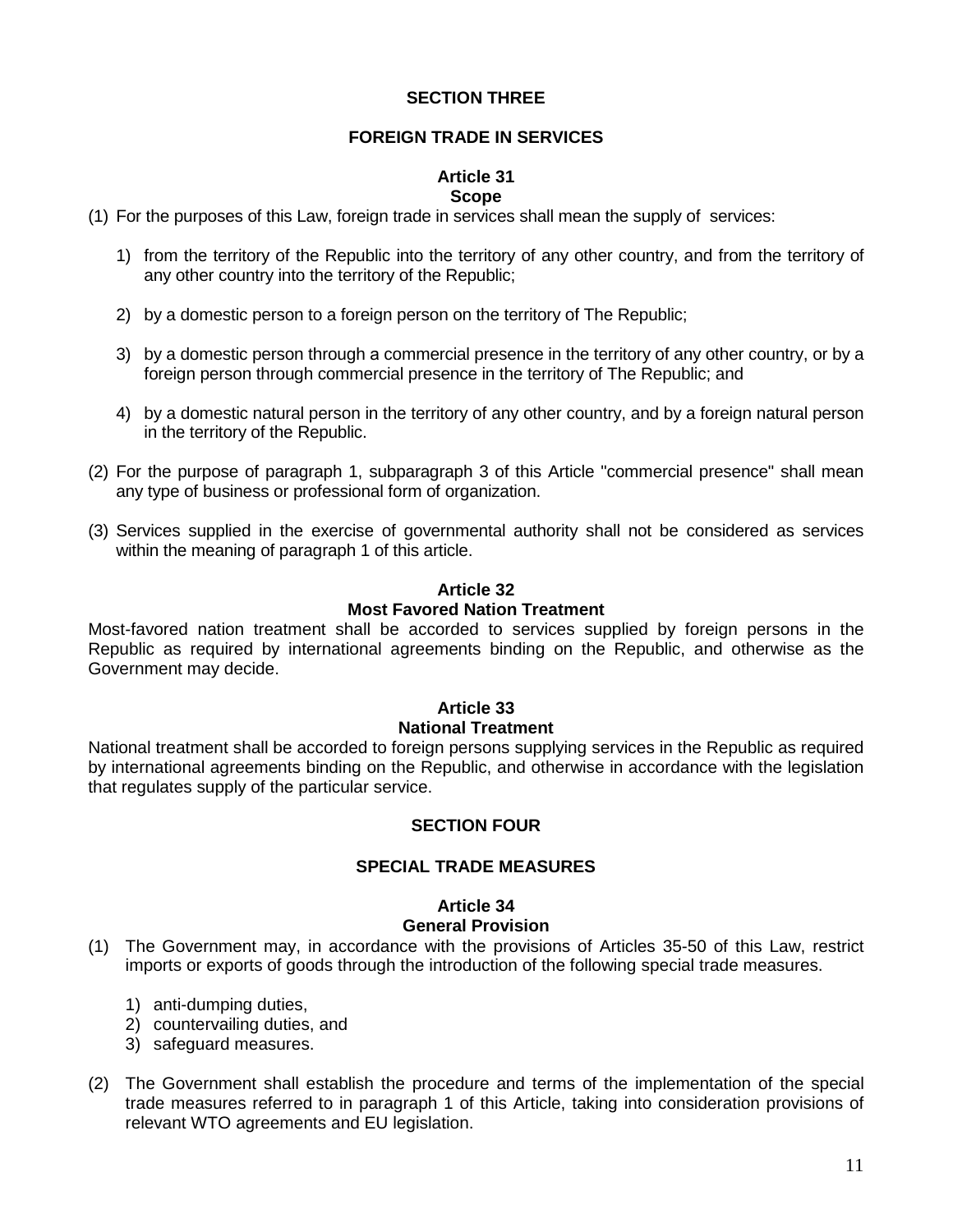#### **SECTION THREE**

## **FOREIGN TRADE IN SERVICES**

#### **Article 31 Scope**

- (1) For the purposes of this Law, foreign trade in services shall mean the supply of services:
	- 1) from the territory of the Republic into the territory of any other country, and from the territory of any other country into the territory of the Republic;
	- 2) by a domestic person to a foreign person on the territory of The Republic;
	- 3) by a domestic person through a commercial presence in the territory of any other country, or by a foreign person through commercial presence in the territory of The Republic; and
	- 4) by a domestic natural person in the territory of any other country, and by a foreign natural person in the territory of the Republic.
- (2) For the purpose of paragraph 1, subparagraph 3 of this Article "commercial presence" shall mean any type of business or professional form of organization.
- (3) Services supplied in the exercise of governmental authority shall not be considered as services within the meaning of paragraph 1 of this article.

# **Article 32 Most Favored Nation Treatment**

Most-favored nation treatment shall be accorded to services supplied by foreign persons in the Republic as required by international agreements binding on the Republic, and otherwise as the Government may decide.

## **Article 33**

#### **National Treatment**

National treatment shall be accorded to foreign persons supplying services in the Republic as required by international agreements binding on the Republic, and otherwise in accordance with the legislation that regulates supply of the particular service.

## **SECTION FOUR**

#### **SPECIAL TRADE MEASURES**

#### **Article 34 General Provision**

- (1) The Government may, in accordance with the provisions of Articles 35-50 of this Law, restrict imports or exports of goods through the introduction of the following special trade measures.
	- 1) anti-dumping duties,
	- 2) countervailing duties, and
	- 3) safeguard measures.
- (2) The Government shall establish the procedure and terms of the implementation of the special trade measures referred to in paragraph 1 of this Article, taking into consideration provisions of relevant WTO agreements and EU legislation.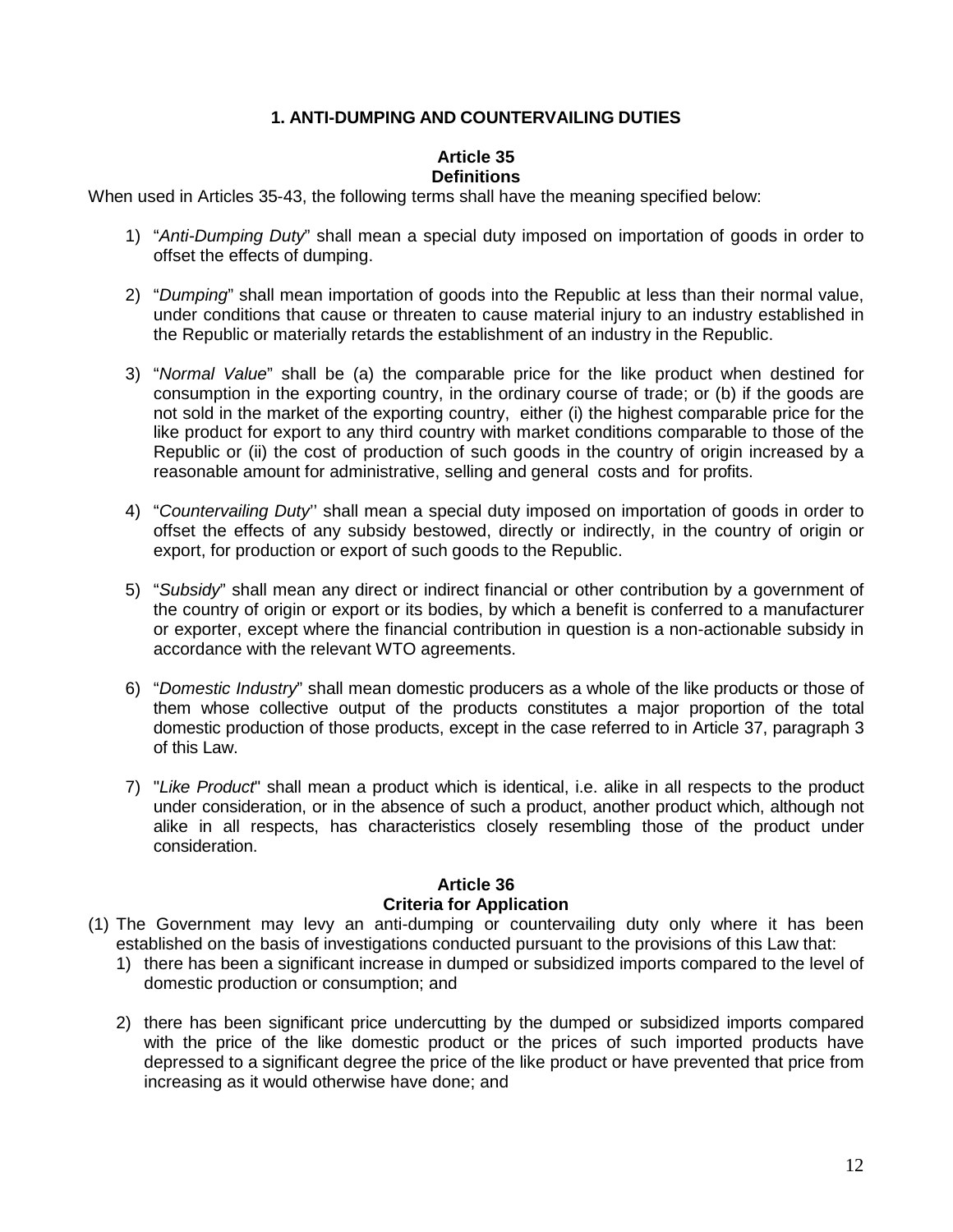## **1. ANTI-DUMPING AND COUNTERVAILING DUTIES**

#### **Article 35 Definitions**

When used in Articles 35-43, the following terms shall have the meaning specified below:

- 1) "Anti-Dumping Duty" shall mean a special duty imposed on importation of goods in order to offset the effects of dumping.
- 2) "Dumping" shall mean importation of goods into the Republic at less than their normal value, under conditions that cause or threaten to cause material injury to an industry established in the Republic or materially retards the establishment of an industry in the Republic.
- 3) "Normal Value" shall be (a) the comparable price for the like product when destined for consumption in the exporting country, in the ordinary course of trade; or (b) if the goods are not sold in the market of the exporting country, either (i) the highest comparable price for the like product for export to any third country with market conditions comparable to those of the Republic or (ii) the cost of production of such goods in the country of origin increased by a reasonable amount for administrative, selling and general costs and for profits.
- 4) "Countervailing Duty" shall mean a special duty imposed on importation of goods in order to offset the effects of any subsidy bestowed, directly or indirectly, in the country of origin or export, for production or export of such goods to the Republic.
- 5) "Subsidy" shall mean any direct or indirect financial or other contribution by a government of the country of origin or export or its bodies, by which a benefit is conferred to a manufacturer or exporter, except where the financial contribution in question is a non-actionable subsidy in accordance with the relevant WTO agreements.
- 6) "Domestic Industry" shall mean domestic producers as a whole of the like products or those of them whose collective output of the products constitutes a major proportion of the total domestic production of those products, except in the case referred to in Article 37, paragraph 3 of this Law.
- 7) "Like Product" shall mean a product which is identical, i.e. alike in all respects to the product under consideration, or in the absence of such a product, another product which, although not alike in all respects, has characteristics closely resembling those of the product under consideration.

#### **Article 36 Criteria for Application**

- (1) The Government may levy an anti-dumping or countervailing duty only where it has been established on the basis of investigations conducted pursuant to the provisions of this Law that:
	- 1) there has been a significant increase in dumped or subsidized imports compared to the level of domestic production or consumption; and
	- 2) there has been significant price undercutting by the dumped or subsidized imports compared with the price of the like domestic product or the prices of such imported products have depressed to a significant degree the price of the like product or have prevented that price from increasing as it would otherwise have done; and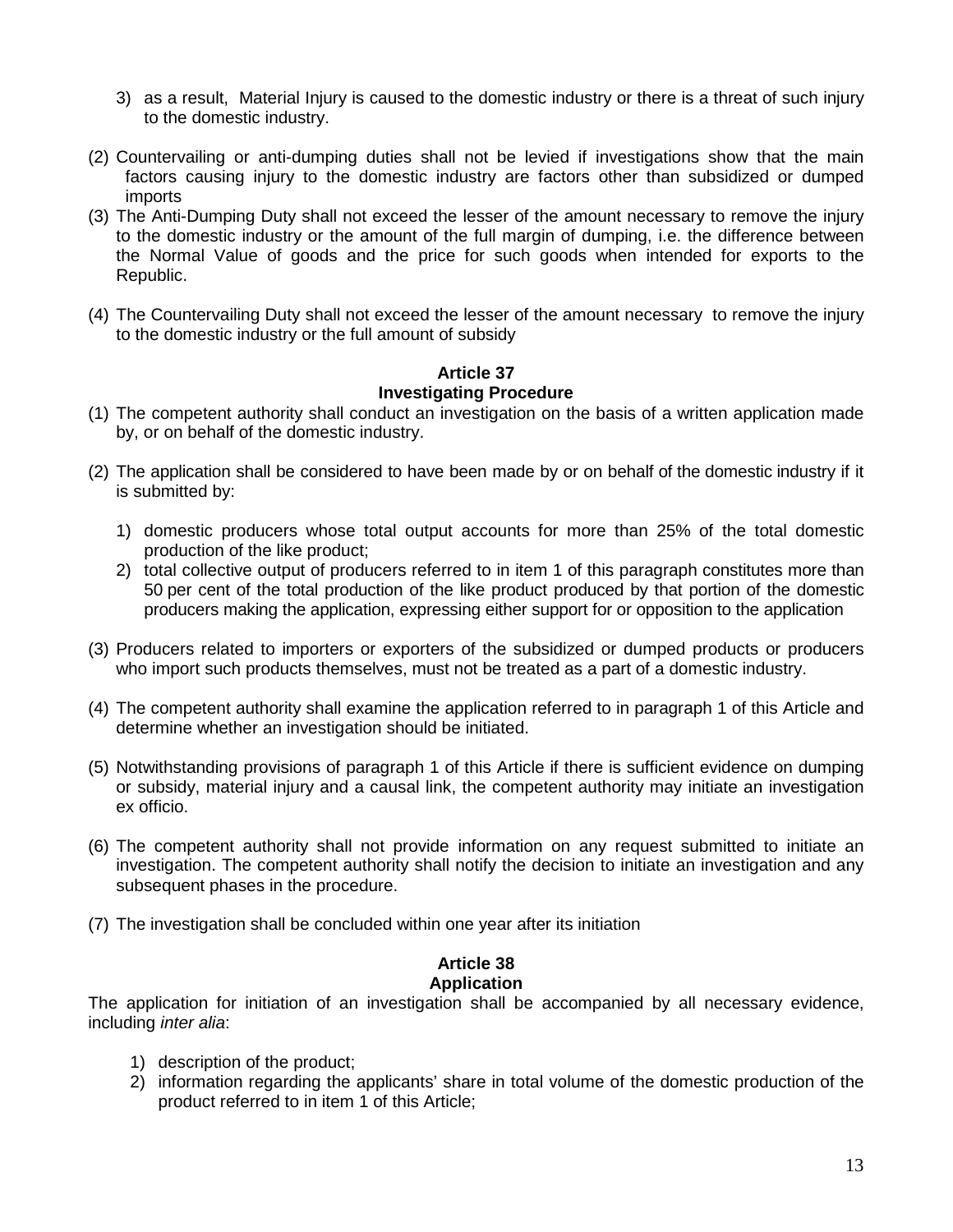- 3) as a result, Material Injury is caused to the domestic industry or there is a threat of such injury to the domestic industry.
- (2) Countervailing or anti-dumping duties shall not be levied if investigations show that the main factors causing injury to the domestic industry are factors other than subsidized or dumped imports
- (3) The Anti-Dumping Duty shall not exceed the lesser of the amount necessary to remove the injury to the domestic industry or the amount of the full margin of dumping, i.e. the difference between the Normal Value of goods and the price for such goods when intended for exports to the Republic.
- (4) The Countervailing Duty shall not exceed the lesser of the amount necessary to remove the injury to the domestic industry or the full amount of subsidy

# **Article 37**

- **Investigating Procedure**
- (1) The competent authority shall conduct an investigation on the basis of a written application made by, or on behalf of the domestic industry.
- (2) The application shall be considered to have been made by or on behalf of the domestic industry if it is submitted by:
	- 1) domestic producers whose total output accounts for more than 25% of the total domestic production of the like product;
	- 2) total collective output of producers referred to in item 1 of this paragraph constitutes more than 50 per cent of the total production of the like product produced by that portion of the domestic producers making the application, expressing either support for or opposition to the application
- (3) Producers related to importers or exporters of the subsidized or dumped products or producers who import such products themselves, must not be treated as a part of a domestic industry.
- (4) The competent authority shall examine the application referred to in paragraph 1 of this Article and determine whether an investigation should be initiated.
- (5) Notwithstanding provisions of paragraph 1 of this Article if there is sufficient evidence on dumping or subsidy, material injury and a causal link, the competent authority may initiate an investigation ex officio.
- (6) The competent authority shall not provide information on any request submitted to initiate an investigation. The competent authority shall notify the decision to initiate an investigation and any subsequent phases in the procedure.
- (7) The investigation shall be concluded within one year after its initiation

#### **Article 38 Application**

The application for initiation of an investigation shall be accompanied by all necessary evidence, including inter alia:

- 1) description of the product;
- 2) information regarding the applicants' share in total volume of the domestic production of the product referred to in item 1 of this Article;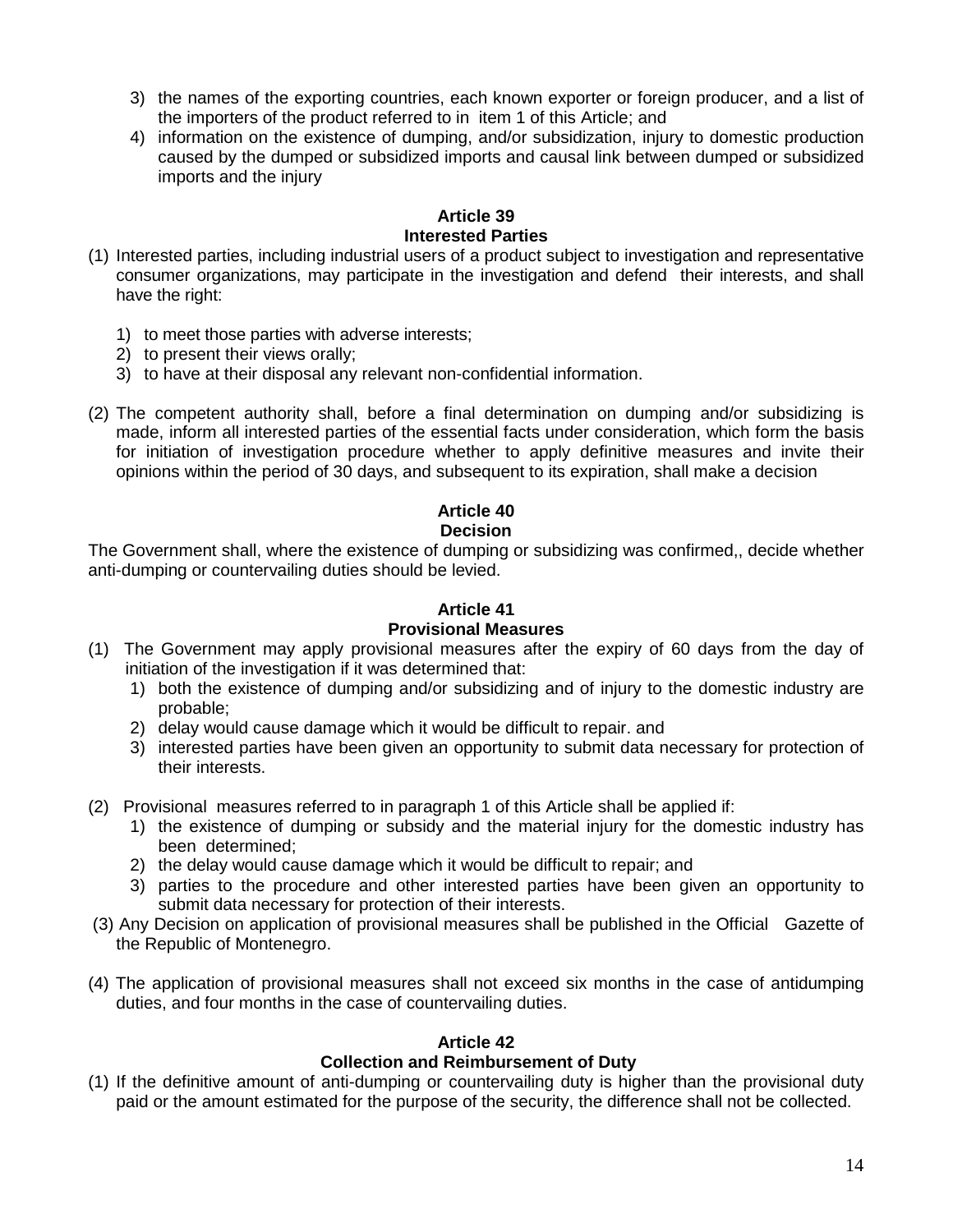- 3) the names of the exporting countries, each known exporter or foreign producer, and a list of the importers of the product referred to in item 1 of this Article; and
- 4) information on the existence of dumping, and/or subsidization, injury to domestic production caused by the dumped or subsidized imports and causal link between dumped or subsidized imports and the injury

# **Article 39 Interested Parties**

- (1) Interested parties, including industrial users of a product subject to investigation and representative consumer organizations, may participate in the investigation and defend their interests, and shall have the right:
	- 1) to meet those parties with adverse interests;
	- 2) to present their views orally;
	- 3) to have at their disposal any relevant non-confidential information.
- (2) The competent authority shall, before a final determination on dumping and/or subsidizing is made, inform all interested parties of the essential facts under consideration, which form the basis for initiation of investigation procedure whether to apply definitive measures and invite their opinions within the period of 30 days, and subsequent to its expiration, shall make a decision

# **Article 40**

# **Decision**

The Government shall, where the existence of dumping or subsidizing was confirmed,, decide whether anti-dumping or countervailing duties should be levied.

#### **Article 41 Provisional Measures**

- (1) The Government may apply provisional measures after the expiry of 60 days from the day of initiation of the investigation if it was determined that:
	- 1) both the existence of dumping and/or subsidizing and of injury to the domestic industry are probable;
	- 2) delay would cause damage which it would be difficult to repair. and
	- 3) interested parties have been given an opportunity to submit data necessary for protection of their interests.
- (2) Provisional measures referred to in paragraph 1 of this Article shall be applied if:
	- 1) the existence of dumping or subsidy and the material injury for the domestic industry has been determined;
	- 2) the delay would cause damage which it would be difficult to repair; and
	- 3) parties to the procedure and other interested parties have been given an opportunity to submit data necessary for protection of their interests.
- (3) Any Decision on application of provisional measures shall be published in the Official Gazette of the Republic of Montenegro.
- (4) The application of provisional measures shall not exceed six months in the case of antidumping duties, and four months in the case of countervailing duties.

# **Article 42**

# **Collection and Reimbursement of Duty**

(1) If the definitive amount of anti-dumping or countervailing duty is higher than the provisional duty paid or the amount estimated for the purpose of the security, the difference shall not be collected.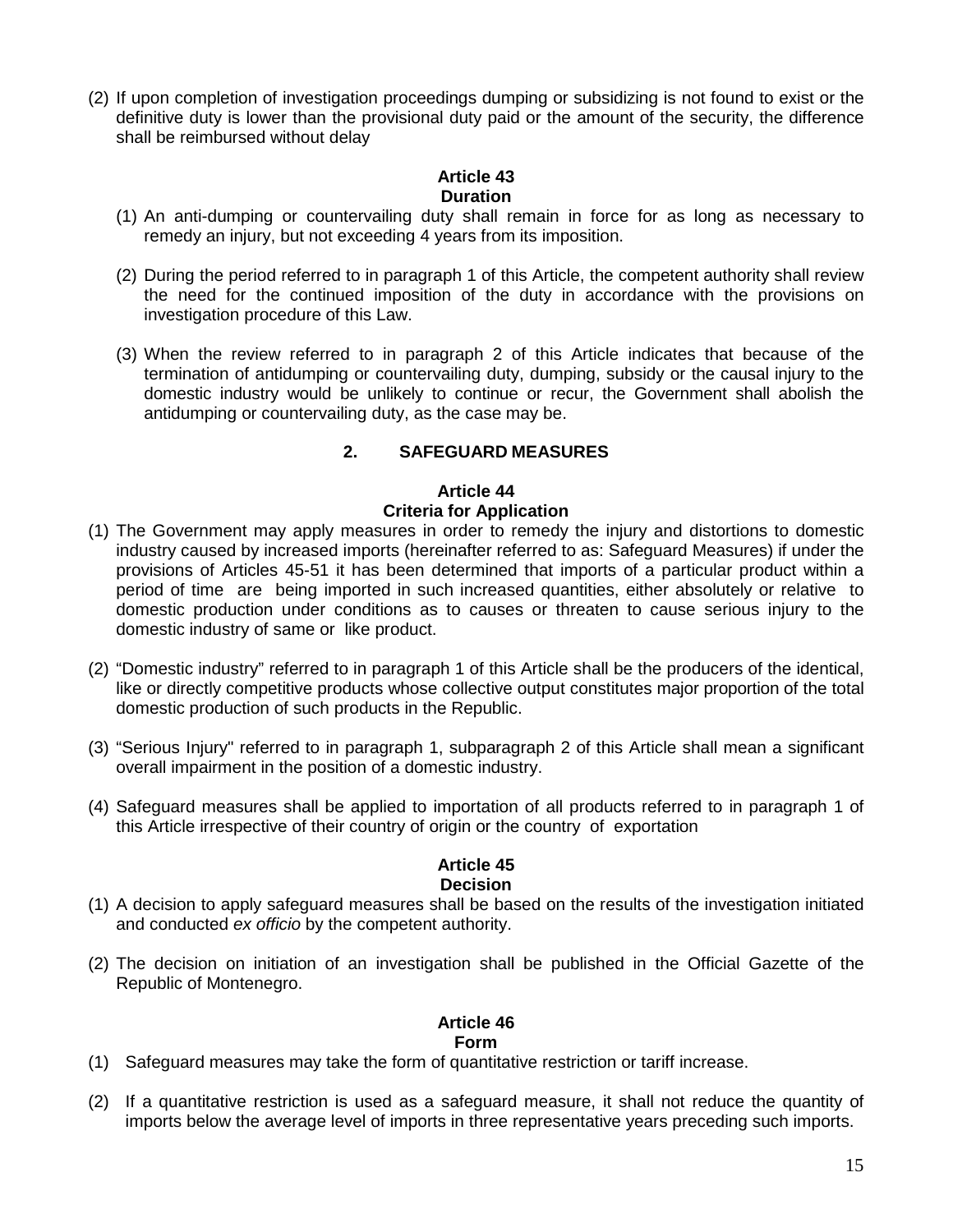(2) If upon completion of investigation proceedings dumping or subsidizing is not found to exist or the definitive duty is lower than the provisional duty paid or the amount of the security, the difference shall be reimbursed without delay

## **Article 43 Duration**

- (1) An anti-dumping or countervailing duty shall remain in force for as long as necessary to remedy an injury, but not exceeding 4 years from its imposition.
- (2) During the period referred to in paragraph 1 of this Article, the competent authority shall review the need for the continued imposition of the duty in accordance with the provisions on investigation procedure of this Law.
- (3) When the review referred to in paragraph 2 of this Article indicates that because of the termination of antidumping or countervailing duty, dumping, subsidy or the causal injury to the domestic industry would be unlikely to continue or recur, the Government shall abolish the antidumping or countervailing duty, as the case may be.

# **2. SAFEGUARD MEASURES**

## **Article 44 Criteria for Application**

- (1) The Government may apply measures in order to remedy the injury and distortions to domestic industry caused by increased imports (hereinafter referred to as: Safeguard Measures) if under the provisions of Articles 45-51 it has been determined that imports of a particular product within a period of time are being imported in such increased quantities, either absolutely or relative to domestic production under conditions as to causes or threaten to cause serious injury to the domestic industry of same or like product.
- (2) "Domestic industry" referred to in paragraph 1 of this Article shall be the producers of the identical, like or directly competitive products whose collective output constitutes major proportion of the total domestic production of such products in the Republic.
- (3) "Serious Injury" referred to in paragraph 1, subparagraph 2 of this Article shall mean a significant overall impairment in the position of a domestic industry.
- (4) Safeguard measures shall be applied to importation of all products referred to in paragraph 1 of this Article irrespective of their country of origin or the country of exportation

## **Article 45**

## **Decision**

- (1) A decision to apply safeguard measures shall be based on the results of the investigation initiated and conducted ex officio by the competent authority.
- (2) The decision on initiation of an investigation shall be published in the Official Gazette of the Republic of Montenegro.

# **Article 46**

## **Form**

- (1) Safeguard measures may take the form of quantitative restriction or tariff increase.
- (2) If a quantitative restriction is used as a safeguard measure, it shall not reduce the quantity of imports below the average level of imports in three representative years preceding such imports.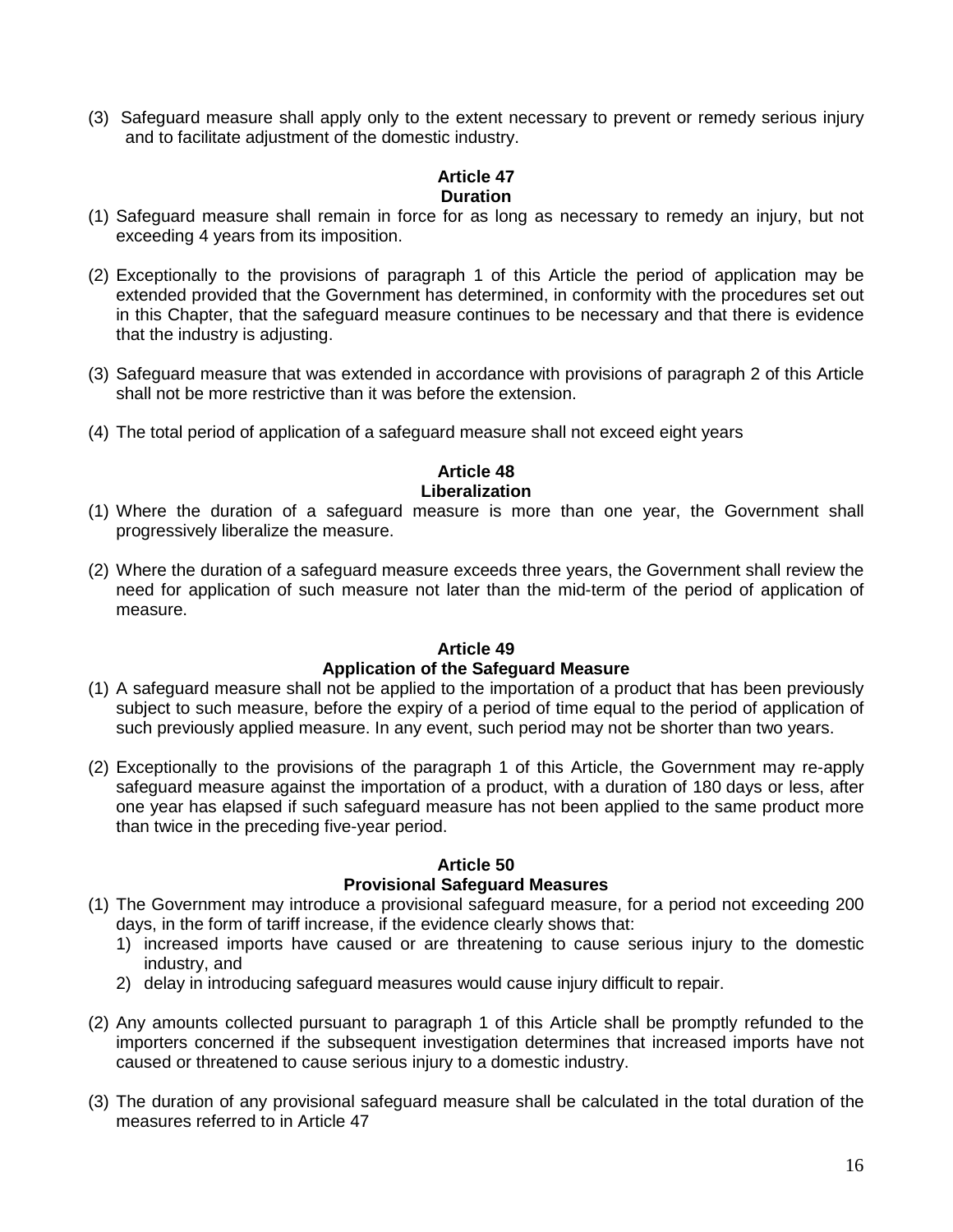(3) Safeguard measure shall apply only to the extent necessary to prevent or remedy serious injury and to facilitate adjustment of the domestic industry.

#### **Article 47 Duration**

- (1) Safeguard measure shall remain in force for as long as necessary to remedy an injury, but not exceeding 4 years from its imposition.
- (2) Exceptionally to the provisions of paragraph 1 of this Article the period of application may be extended provided that the Government has determined, in conformity with the procedures set out in this Chapter, that the safeguard measure continues to be necessary and that there is evidence that the industry is adjusting.
- (3) Safeguard measure that was extended in accordance with provisions of paragraph 2 of this Article shall not be more restrictive than it was before the extension.
- (4) The total period of application of a safeguard measure shall not exceed eight years

# **Article 48 Liberalization**

- (1) Where the duration of a safeguard measure is more than one year, the Government shall progressively liberalize the measure.
- (2) Where the duration of a safeguard measure exceeds three years, the Government shall review the need for application of such measure not later than the mid-term of the period of application of measure.

#### **Article 49 Application of the Safeguard Measure**

- (1) A safeguard measure shall not be applied to the importation of a product that has been previously subject to such measure, before the expiry of a period of time equal to the period of application of such previously applied measure. In any event, such period may not be shorter than two years.
- (2) Exceptionally to the provisions of the paragraph 1 of this Article, the Government may re-apply safeguard measure against the importation of a product, with a duration of 180 days or less, after one year has elapsed if such safeguard measure has not been applied to the same product more than twice in the preceding five-year period.

## **Article 50**

## **Provisional Safeguard Measures**

- (1) The Government may introduce a provisional safeguard measure, for a period not exceeding 200 days, in the form of tariff increase, if the evidence clearly shows that:
	- 1) increased imports have caused or are threatening to cause serious injury to the domestic industry, and
	- 2) delay in introducing safeguard measures would cause injury difficult to repair.
- (2) Any amounts collected pursuant to paragraph 1 of this Article shall be promptly refunded to the importers concerned if the subsequent investigation determines that increased imports have not caused or threatened to cause serious injury to a domestic industry.
- (3) The duration of any provisional safeguard measure shall be calculated in the total duration of the measures referred to in Article 47